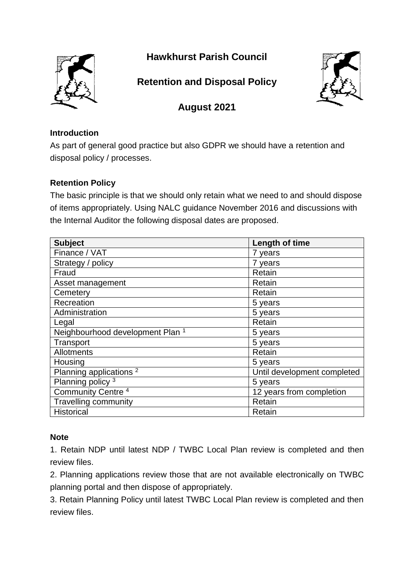

## **Hawkhurst Parish Council**

# **Retention and Disposal Policy**



### **August 2021**

#### **Introduction**

As part of general good practice but also GDPR we should have a retention and disposal policy / processes.

### **Retention Policy**

The basic principle is that we should only retain what we need to and should dispose of items appropriately. Using NALC guidance November 2016 and discussions with the Internal Auditor the following disposal dates are proposed.

| <b>Subject</b>                              | Length of time              |
|---------------------------------------------|-----------------------------|
| Finance / VAT                               | 7 years                     |
| Strategy / policy                           | 7 years                     |
| Fraud                                       | Retain                      |
| Asset management                            | Retain                      |
| Cemetery                                    | Retain                      |
| Recreation                                  | 5 years                     |
| Administration                              | 5 years                     |
| Legal                                       | Retain                      |
| Neighbourhood development Plan <sup>1</sup> | 5 years                     |
| Transport                                   | 5 years                     |
| Allotments                                  | Retain                      |
| Housing                                     | 5 years                     |
| Planning applications <sup>2</sup>          | Until development completed |
| Planning policy <sup>3</sup>                | 5 years                     |
| Community Centre <sup>4</sup>               | 12 years from completion    |
| <b>Travelling community</b>                 | Retain                      |
| <b>Historical</b>                           | Retain                      |

#### **Note**

1. Retain NDP until latest NDP / TWBC Local Plan review is completed and then review files.

2. Planning applications review those that are not available electronically on TWBC planning portal and then dispose of appropriately.

3. Retain Planning Policy until latest TWBC Local Plan review is completed and then review files.